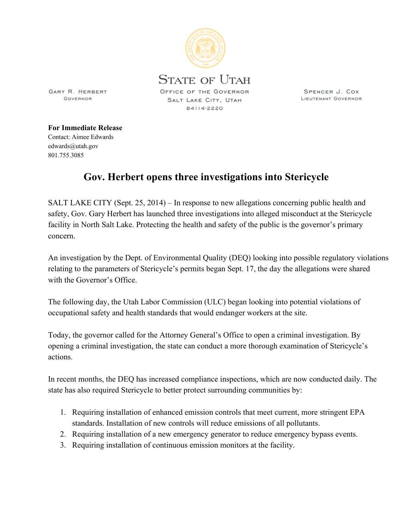

SPENCER J. COX LIEUTENANT GOVERNOR

GARY R. HERBERT GOVERNOR

**For Immediate Release**

Contact: Aimee Edwards edwards@utah.gov 801.755.3085

## **Gov. Herbert opens three investigations into Stericycle**

SALT LAKE CITY (Sept. 25, 2014) – In response to new allegations concerning public health and safety, Gov. Gary Herbert has launched three investigations into alleged misconduct at the Stericycle facility in North Salt Lake. Protecting the health and safety of the public is the governor's primary concern.

An investigation by the Dept. of Environmental Quality (DEQ) looking into possible regulatory violations relating to the parameters of Stericycle's permits began Sept. 17, the day the allegations were shared with the Governor's Office.

The following day, the Utah Labor Commission (ULC) began looking into potential violations of occupational safety and health standards that would endanger workers at the site.

Today, the governor called for the Attorney General's Office to open a criminal investigation. By opening a criminal investigation, the state can conduct a more thorough examination of Stericycle's actions.

In recent months, the DEQ has increased compliance inspections, which are now conducted daily. The state has also required Stericycle to better protect surrounding communities by:

- 1. Requiring installation of enhanced emission controls that meet current, more stringent EPA standards. Installation of new controls will reduce emissions of all pollutants.
- 2. Requiring installation of a new emergency generator to reduce emergency bypass events.
- 3. Requiring installation of continuous emission monitors at the facility.